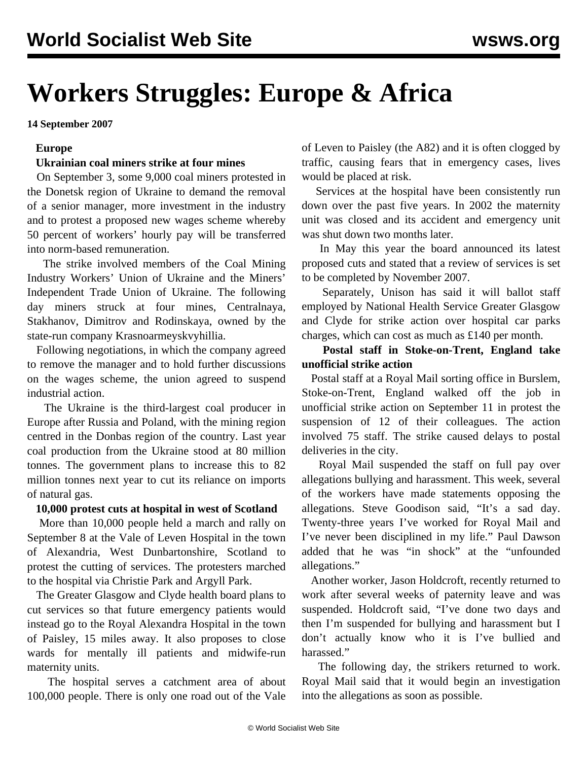# **Workers Struggles: Europe & Africa**

**14 September 2007**

#### **Europe**

#### **Ukrainian coal miners strike at four mines**

 On September 3, some 9,000 coal miners protested in the Donetsk region of Ukraine to demand the removal of a senior manager, more investment in the industry and to protest a proposed new wages scheme whereby 50 percent of workers' hourly pay will be transferred into norm-based remuneration.

 The strike involved members of the Coal Mining Industry Workers' Union of Ukraine and the Miners' Independent Trade Union of Ukraine. The following day miners struck at four mines, Centralnaya, Stakhanov, Dimitrov and Rodinskaya, owned by the state-run company Krasnoarmeyskvyhillia.

 Following negotiations, in which the company agreed to remove the manager and to hold further discussions on the wages scheme, the union agreed to suspend industrial action.

 The Ukraine is the third-largest coal producer in Europe after Russia and Poland, with the mining region centred in the Donbas region of the country. Last year coal production from the Ukraine stood at 80 million tonnes. The government plans to increase this to 82 million tonnes next year to cut its reliance on imports of natural gas.

#### **10,000 protest cuts at hospital in west of Scotland**

 More than 10,000 people held a march and rally on September 8 at the Vale of Leven Hospital in the town of Alexandria, West Dunbartonshire, Scotland to protest the cutting of services. The protesters marched to the hospital via Christie Park and Argyll Park.

 The Greater Glasgow and Clyde health board plans to cut services so that future emergency patients would instead go to the Royal Alexandra Hospital in the town of Paisley, 15 miles away. It also proposes to close wards for mentally ill patients and midwife-run maternity units.

 The hospital serves a catchment area of about 100,000 people. There is only one road out of the Vale

of Leven to Paisley (the A82) and it is often clogged by traffic, causing fears that in emergency cases, lives would be placed at risk.

 Services at the hospital have been consistently run down over the past five years. In 2002 the maternity unit was closed and its accident and emergency unit was shut down two months later.

 In May this year the board announced its latest proposed cuts and stated that a review of services is set to be completed by November 2007.

 Separately, Unison has said it will ballot staff employed by National Health Service Greater Glasgow and Clyde for strike action over hospital car parks charges, which can cost as much as £140 per month.

 **Postal staff in Stoke-on-Trent, England take unofficial strike action**

 Postal staff at a Royal Mail sorting office in Burslem, Stoke-on-Trent, England walked off the job in unofficial strike action on September 11 in protest the suspension of 12 of their colleagues. The action involved 75 staff. The strike caused delays to postal deliveries in the city.

 Royal Mail suspended the staff on full pay over allegations bullying and harassment. This week, several of the workers have made statements opposing the allegations. Steve Goodison said, "It's a sad day. Twenty-three years I've worked for Royal Mail and I've never been disciplined in my life." Paul Dawson added that he was "in shock" at the "unfounded allegations."

 Another worker, Jason Holdcroft, recently returned to work after several weeks of paternity leave and was suspended. Holdcroft said, "I've done two days and then I'm suspended for bullying and harassment but I don't actually know who it is I've bullied and harassed."

 The following day, the strikers returned to work. Royal Mail said that it would begin an investigation into the allegations as soon as possible.